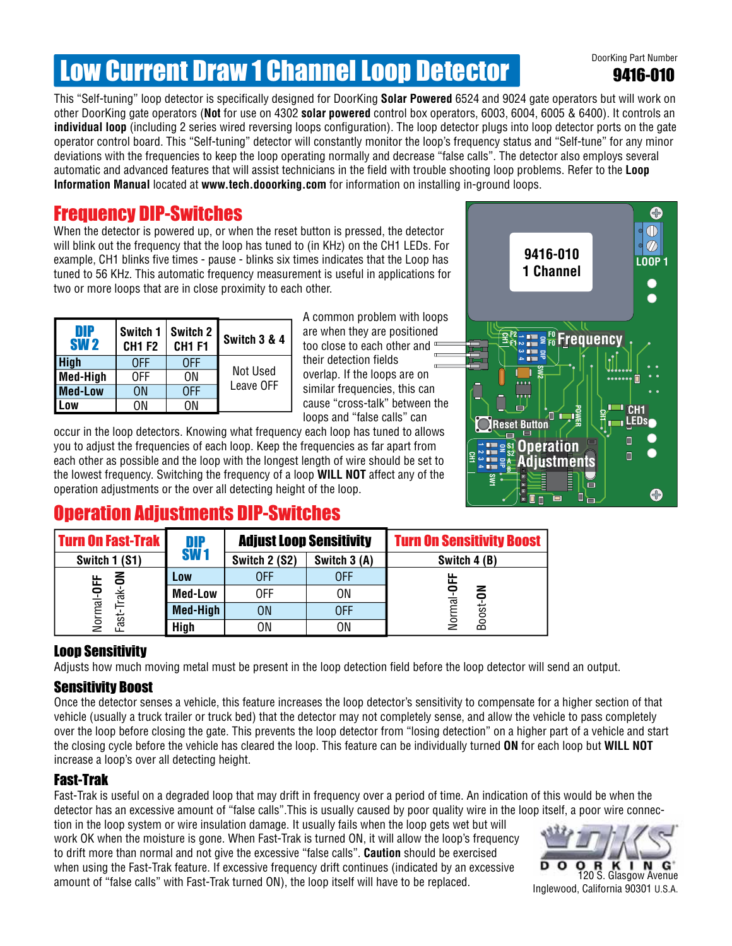# **Low Current Draw 1 Channel Loop Detector Description Part Number**

9416-010

This "Self-tuning" loop detector is specifically designed for DoorKing **Solar Powered** 6524 and 9024 gate operators but will work on other DoorKing gate operators (**Not** for use on 4302 **solar powered** control box operators, 6003, 6004, 6005 & 6400). It controls an **individual loop** (including 2 series wired reversing loops configuration). The loop detector plugs into loop detector ports on the gate operator control board. This "Self-tuning" detector will constantly monitor the loop's frequency status and "Self-tune" for any minor deviations with the frequencies to keep the loop operating normally and decrease "false calls". The detector also employs several automatic and advanced features that will assist technicians in the field with trouble shooting loop problems. Refer to the **Loop Information Manual** located at **www.tech.dooorking.com** for information on installing in-ground loops.

### Frequency DIP-Switches

When the detector is powered up, or when the reset button is pressed, the detector will blink out the frequency that the loop has tuned to (in KHz) on the CH1 LEDs. For example, CH1 blinks five times - pause - blinks six times indicates that the Loop has tuned to 56 KHz. This automatic frequency measurement is useful in applications for two or more loops that are in close proximity to each other.

| DIP<br><b>SW2</b> | Switch 1<br><b>CH1 F2</b> | Switch 2<br><b>CH1 F1</b> | Switch 3 & 4 |  |
|-------------------|---------------------------|---------------------------|--------------|--|
| <b>High</b>       | 0FF                       | 0FF                       |              |  |
| Med-High          | 0FF                       | ΩN                        | Not Used     |  |
| <b>Med-Low</b>    | OΝ                        | 0FF                       | Leave OFF    |  |
|                   | ٦N                        | ΩN                        |              |  |

A common problem with loops are when they are positioned too close to each other and their detection fields overlap. If the loops are on similar frequencies, this can cause "cross-talk" between the loops and "false calls" can

occur in the loop detectors. Knowing what frequency each loop has tuned to allows you to adjust the frequencies of each loop. Keep the frequencies as far apart from each other as possible and the loop with the longest length of wire should be set to the lowest frequency. Switching the frequency of a loop **WILL NOT** affect any of the operation adjustments or the over all detecting height of the loop.



## Operation Adjustments DIP-Switches

| <b>Turn On Fast-Trak</b>                  | DIP<br><b>SW1</b> | <b>Adjust Loop Sensitivity</b> |              | <b>Turn On Sensitivity Boost</b> |
|-------------------------------------------|-------------------|--------------------------------|--------------|----------------------------------|
| Switch 1 (S1)                             |                   | Switch 2 (S2)                  | Switch 3 (A) | Switch 4 (B)                     |
| る<br>ட<br>ᇎ<br>Normal-OI<br>rak-<br>Fast- | Low               | 0FF                            | 0FF          | ய<br>ய                           |
|                                           | <b>Med-Low</b>    | 0FF                            | 0N           | z<br>ಸ<br>Boost-                 |
|                                           | <b>Med-High</b>   | <b>ON</b>                      | 0FF          |                                  |
|                                           | <b>High</b>       | ON                             | 0N           |                                  |

#### Loop Sensitivity

Adjusts how much moving metal must be present in the loop detection field before the loop detector will send an output.

#### Sensitivity Boost

Once the detector senses a vehicle, this feature increases the loop detector's sensitivity to compensate for a higher section of that vehicle (usually a truck trailer or truck bed) that the detector may not completely sense, and allow the vehicle to pass completely over the loop before closing the gate. This prevents the loop detector from "losing detection" on a higher part of a vehicle and start the closing cycle before the vehicle has cleared the loop. This feature can be individually turned **ON** for each loop but **WILL NOT** increase a loop's over all detecting height.

#### Fast-Trak

Fast-Trak is useful on a degraded loop that may drift in frequency over a period of time. An indication of this would be when the detector has an excessive amount of "false calls".This is usually caused by poor quality wire in the loop itself, a poor wire connec-

tion in the loop system or wire insulation damage. It usually fails when the loop gets wet but will work OK when the moisture is gone. When Fast-Trak is turned ON, it will allow the loop's frequency to drift more than normal and not give the excessive "false calls". **Caution** should be exercised when using the Fast-Trak feature. If excessive frequency drift continues (indicated by an excessive amount of "false calls" with Fast-Trak turned ON), the loop itself will have to be replaced.